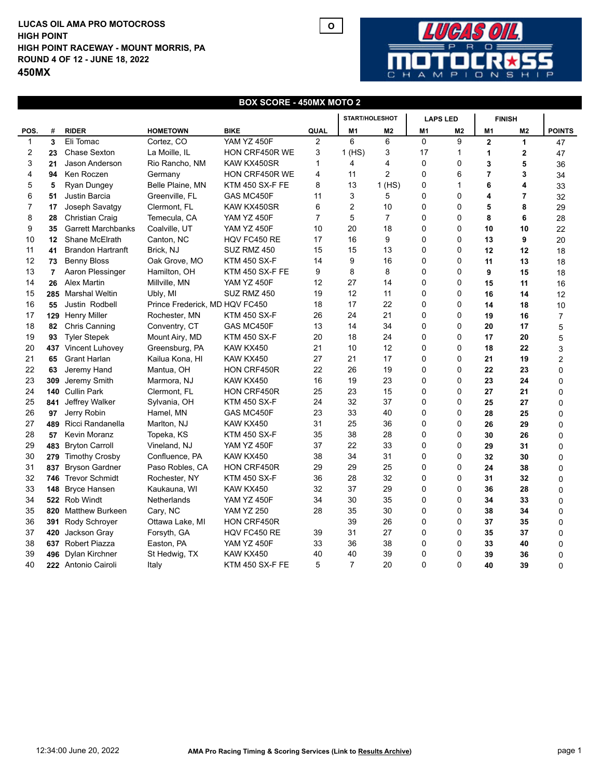## **LUCAS OIL AMA PRO MOTOCROSS HIGH POINT RACEWAY - MOUNT MORRIS, PA ROUND 4 OF 12 - JUNE 18, 2022 450MX HIGH POINT**



## **BOX SCORE - 450MX MOTO 2**

**O**

|              |                |                           |                                |                        |                | <b>START/HOLESHOT</b> |                | <b>LAPS LED</b> |                | <b>FINISH</b>  |                |                |
|--------------|----------------|---------------------------|--------------------------------|------------------------|----------------|-----------------------|----------------|-----------------|----------------|----------------|----------------|----------------|
| POS.         | #              | <b>RIDER</b>              | <b>HOMETOWN</b>                | <b>BIKE</b>            | QUAL           | M1                    | M <sub>2</sub> | M <sub>1</sub>  | M <sub>2</sub> | M <sub>1</sub> | M <sub>2</sub> | <b>POINTS</b>  |
| $\mathbf{1}$ | 3              | Eli Tomac                 | Cortez, CO                     | YAM YZ 450F            | $\overline{2}$ | 6                     | 6              | 0               | 9              | $\overline{2}$ | $\mathbf{1}$   | 47             |
| 2            | 23             | <b>Chase Sexton</b>       | La Moille, IL                  | HON CRF450R WE         | 3              | 1(HS)                 | 3              | 17              | 1              | 1              | $\mathbf 2$    | 47             |
| 3            | 21             | Jason Anderson            | Rio Rancho, NM                 | KAW KX450SR            | $\mathbf{1}$   | 4                     | 4              | 0               | 0              | 3              | 5              | 36             |
| 4            | 94             | Ken Roczen                | Germany                        | HON CRF450R WE         | 4              | 11                    | $\overline{2}$ | 0               | 6              | $\overline{7}$ | 3              | 34             |
| 5            | 5              | Ryan Dungey               | Belle Plaine, MN               | <b>KTM 450 SX-F FE</b> | 8              | 13                    | 1(HS)          | 0               | 1              | 6              | 4              | 33             |
| 6            | 51             | Justin Barcia             | Greenville, FL                 | GAS MC450F             | 11             | 3                     | 5              | 0               | 0              | 4              | 7              | 32             |
| 7            | 17             | Joseph Savatgy            | Clermont, FL                   | KAW KX450SR            | 6              | $\overline{c}$        | 10             | 0               | 0              | 5              | 8              | 29             |
| 8            | 28             | Christian Craig           | Temecula, CA                   | <b>YAM YZ 450F</b>     | $\overline{7}$ | 5                     | $\overline{7}$ | 0               | 0              | 8              | 6              | 28             |
| 9            | 35             | <b>Garrett Marchbanks</b> | Coalville, UT                  | <b>YAM YZ 450F</b>     | 10             | 20                    | 18             | 0               | 0              | 10             | 10             | 22             |
| 10           | 12             | Shane McElrath            | Canton, NC                     | HQV FC450 RE           | 17             | 16                    | 9              | 0               | 0              | 13             | 9              | 20             |
| 11           | 41             | <b>Brandon Hartranft</b>  | Brick, NJ                      | SUZ RMZ 450            | 15             | 15                    | 13             | 0               | 0              | 12             | 12             | 18             |
| 12           | 73             | <b>Benny Bloss</b>        | Oak Grove, MO                  | <b>KTM 450 SX-F</b>    | 14             | 9                     | 16             | 0               | 0              | 11             | 13             | 18             |
| 13           | $\overline{7}$ | Aaron Plessinger          | Hamilton, OH                   | <b>KTM 450 SX-F FE</b> | 9              | 8                     | 8              | 0               | 0              | 9              | 15             | 18             |
| 14           | 26             | <b>Alex Martin</b>        | Millville, MN                  | <b>YAM YZ 450F</b>     | 12             | 27                    | 14             | 0               | 0              | 15             | 11             | 16             |
| 15           |                | 285 Marshal Weltin        | Ubly, MI                       | SUZ RMZ 450            | 19             | 12                    | 11             | 0               | 0              | 16             | 14             | 12             |
| 16           | 55             | Justin Rodbell            | Prince Frederick, MD HQV FC450 |                        | 18             | 17                    | 22             | 0               | 0              | 14             | 18             | 10             |
| 17           |                | 129 Henry Miller          | Rochester, MN                  | <b>KTM 450 SX-F</b>    | 26             | 24                    | 21             | 0               | 0              | 19             | 16             | 7              |
| 18           | 82             | <b>Chris Canning</b>      | Conventry, CT                  | GAS MC450F             | 13             | 14                    | 34             | 0               | 0              | 20             | 17             | 5              |
| 19           | 93             | <b>Tyler Stepek</b>       | Mount Airy, MD                 | <b>KTM 450 SX-F</b>    | 20             | 18                    | 24             | 0               | 0              | 17             | 20             | 5              |
| 20           |                | 437 Vincent Luhovey       | Greensburg, PA                 | KAW KX450              | 21             | 10                    | 12             | 0               | 0              | 18             | 22             | 3              |
| 21           | 65             | <b>Grant Harlan</b>       | Kailua Kona, HI                | KAW KX450              | 27             | 21                    | 17             | 0               | 0              | 21             | 19             | $\overline{c}$ |
| 22           | 63             | Jeremy Hand               | Mantua, OH                     | HON CRF450R            | 22             | 26                    | 19             | 0               | 0              | 22             | 23             | 0              |
| 23           | 309            | Jeremy Smith              | Marmora, NJ                    | KAW KX450              | 16             | 19                    | 23             | 0               | 0              | 23             | 24             | 0              |
| 24           |                | 140 Cullin Park           | Clermont, FL                   | <b>HON CRF450R</b>     | 25             | 23                    | 15             | 0               | 0              | 27             | 21             | 0              |
| 25           | 841            | Jeffrey Walker            | Sylvania, OH                   | <b>KTM 450 SX-F</b>    | 24             | 32                    | 37             | 0               | 0              | 25             | 27             | 0              |
| 26           | 97             | Jerry Robin               | Hamel, MN                      | GAS MC450F             | 23             | 33                    | 40             | 0               | 0              | 28             | 25             | 0              |
| 27           | 489            | Ricci Randanella          | Marlton, NJ                    | KAW KX450              | 31             | 25                    | 36             | 0               | 0              | 26             | 29             | 0              |
| 28           | 57             | Kevin Moranz              | Topeka, KS                     | <b>KTM 450 SX-F</b>    | 35             | 38                    | 28             | 0               | 0              | 30             | 26             | 0              |
| 29           | 483            | <b>Bryton Carroll</b>     | Vineland, NJ                   | <b>YAM YZ 450F</b>     | 37             | 22                    | 33             | 0               | 0              | 29             | 31             | 0              |
| 30           | 279            | <b>Timothy Crosby</b>     | Confluence, PA                 | KAW KX450              | 38             | 34                    | 31             | 0               | 0              | 32             | 30             | 0              |
| 31           | 837            | <b>Bryson Gardner</b>     | Paso Robles, CA                | HON CRF450R            | 29             | 29                    | 25             | 0               | 0              | 24             | 38             | 0              |
| 32           | 746            | <b>Trevor Schmidt</b>     | Rochester, NY                  | <b>KTM 450 SX-F</b>    | 36             | 28                    | 32             | 0               | 0              | 31             | 32             | 0              |
| 33           | 148            | <b>Bryce Hansen</b>       | Kaukauna, WI                   | KAW KX450              | 32             | 37                    | 29             | 0               | 0              | 36             | 28             | $\Omega$       |
| 34           |                | 522 Rob Windt             | Netherlands                    | <b>YAM YZ 450F</b>     | 34             | 30                    | 35             | 0               | 0              | 34             | 33             | 0              |
| 35           | 820            | <b>Matthew Burkeen</b>    | Cary, NC                       | <b>YAM YZ 250</b>      | 28             | 35                    | 30             | 0               | 0              | 38             | 34             | 0              |
| 36           | 391            | Rody Schroyer             | Ottawa Lake, MI                | HON CRF450R            |                | 39                    | 26             | 0               | 0              | 37             | 35             | 0              |
| 37           | 420            | Jackson Gray              | Forsyth, GA                    | HQV FC450 RE           | 39             | 31                    | 27             | 0               | 0              | 35             | 37             | 0              |
| 38           |                | 637 Robert Piazza         | Easton, PA                     | YAM YZ 450F            | 33             | 36                    | 38             | 0               | 0              | 33             | 40             | 0              |
| 39           | 496            | Dylan Kirchner            | St Hedwig, TX                  | KAW KX450              | 40             | 40                    | 39             | 0               | 0              | 39             | 36             | 0              |
| 40           |                | 222 Antonio Cairoli       | Italy                          | KTM 450 SX-F FE        | 5              | $\overline{7}$        | 20             | $\mathbf 0$     | 0              | 40             | 39             | $\mathbf 0$    |